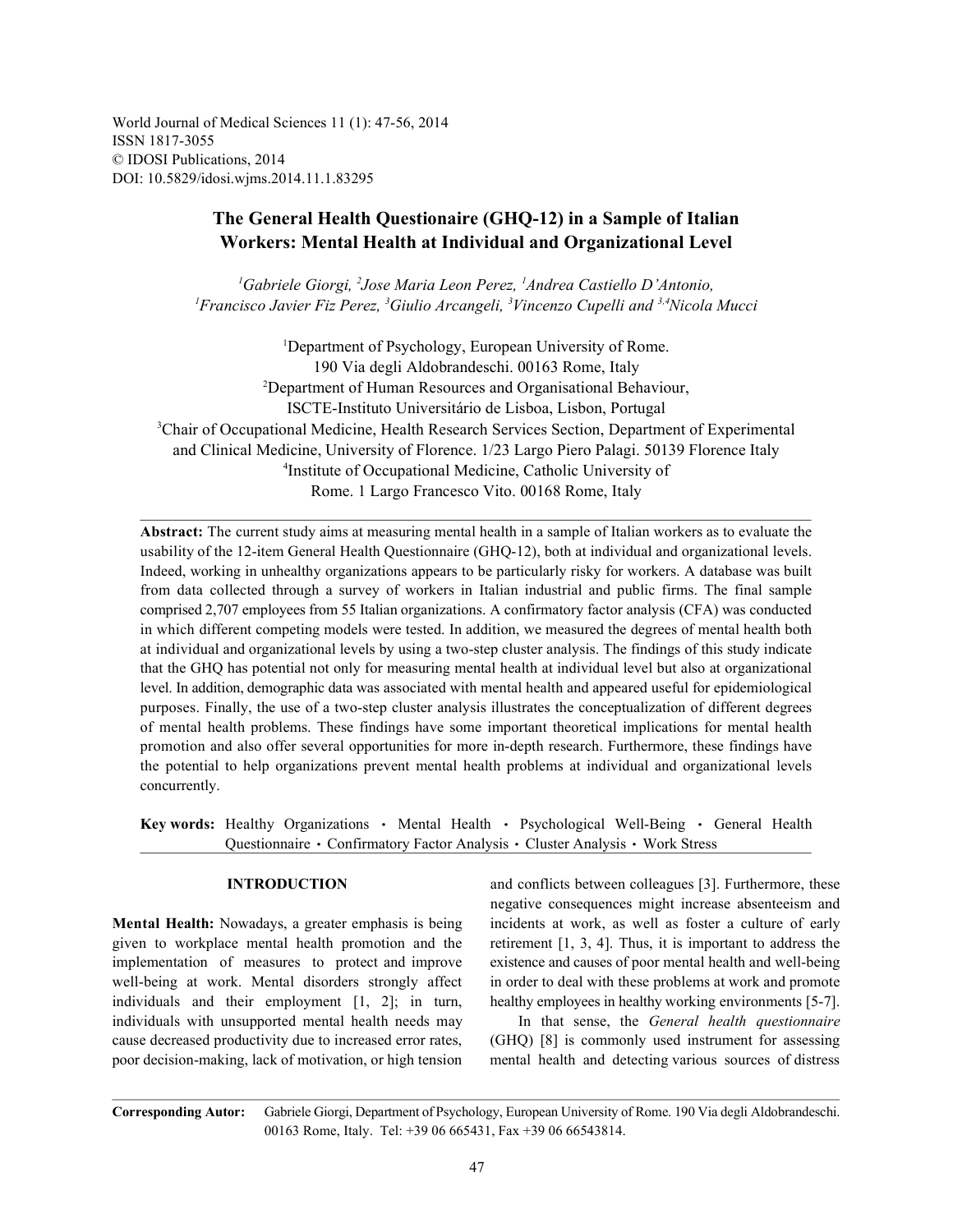World Journal of Medical Sciences 11 (1): 47-56, 2014 ISSN 1817-3055 © IDOSI Publications, 2014 DOI: 10.5829/idosi.wjms.2014.11.1.83295

# **The General Health Questionaire (GHQ-12) in a Sample of Italian Workers: Mental Health at Individual and Organizational Level**

<sup>1</sup>Gabriele Giorgi, <sup>2</sup>Jose Maria Leon Perez, <sup>1</sup>Andrea Castiello D'Antonio, <sup>1</sup> Francisco Javier Fiz Perez, <sup>3</sup>Giulio Arcangeli, <sup>3</sup>Vincenzo Cupelli and <sup>3,4</sup>Nicola Mucci

<sup>1</sup>Department of Psychology, European University of Rome. 190 Via degli Aldobrandeschi. 00163 Rome, Italy Department of Human Resources and Organisational Behaviour, <sup>2</sup> ISCTE-Instituto Universitário de Lisboa, Lisbon, Portugal <sup>3</sup>Chair of Occupational Medicine, Health Research Services Section, Department of Experimental and Clinical Medicine, University of Florence. 1/23 Largo Piero Palagi. 50139 Florence Italy <sup>4</sup>Institute of Occupational Medicine, Catholic University of Rome. 1 Largo Francesco Vito. 00168 Rome, Italy

**Abstract:** The current study aims at measuring mental health in a sample of Italian workers as to evaluate the usability of the 12-item General Health Questionnaire (GHQ-12), both at individual and organizational levels. Indeed, working in unhealthy organizations appears to be particularly risky for workers. A database was built from data collected through a survey of workers in Italian industrial and public firms. The final sample comprised 2,707 employees from 55 Italian organizations. A confirmatory factor analysis (CFA) was conducted in which different competing models were tested. In addition, we measured the degrees of mental health both at individual and organizational levels by using a two-step cluster analysis. The findings of this study indicate that the GHQ has potential not only for measuring mental health at individual level but also at organizational level. In addition, demographic data was associated with mental health and appeared useful for epidemiological purposes. Finally, the use of a two-step cluster analysis illustrates the conceptualization of different degrees of mental health problems. These findings have some important theoretical implications for mental health promotion and also offer several opportunities for more in-depth research. Furthermore, these findings have the potential to help organizations prevent mental health problems at individual and organizational levels concurrently.

**Key words:** Healthy Organizations • Mental Health • Psychological Well-Being • General Health Questionnaire · Confirmatory Factor Analysis · Cluster Analysis · Work Stress

**Mental Health:** Nowadays, a greater emphasis is being incidents at work, as well as foster a culture of early given to workplace mental health promotion and the retirement [1, 3, 4]. Thus, it is important to address the implementation of measures to protect and improve existence and causes of poor mental health and well-being well-being at work. Mental disorders strongly affect in order to deal with these problems at work and promote individuals and their employment [1, 2]; in turn, healthy employees in healthy working environments [5-7]. individuals with unsupported mental health needs may In that sense, the *General health questionnaire* cause decreased productivity due to increased error rates, (GHQ) [8] is commonly used instrument for assessing poor decision-making, lack of motivation, or high tension mental health and detecting various sources of distress

**INTRODUCTION** and conflicts between colleagues [3]. Furthermore, these negative consequences might increase absenteeism and

**Corresponding Autor:** Gabriele Giorgi, Department of Psychology, European University of Rome. 190 Via degli Aldobrandeschi. 00163 Rome, Italy. Tel: +39 06 665431, Fax +39 06 66543814.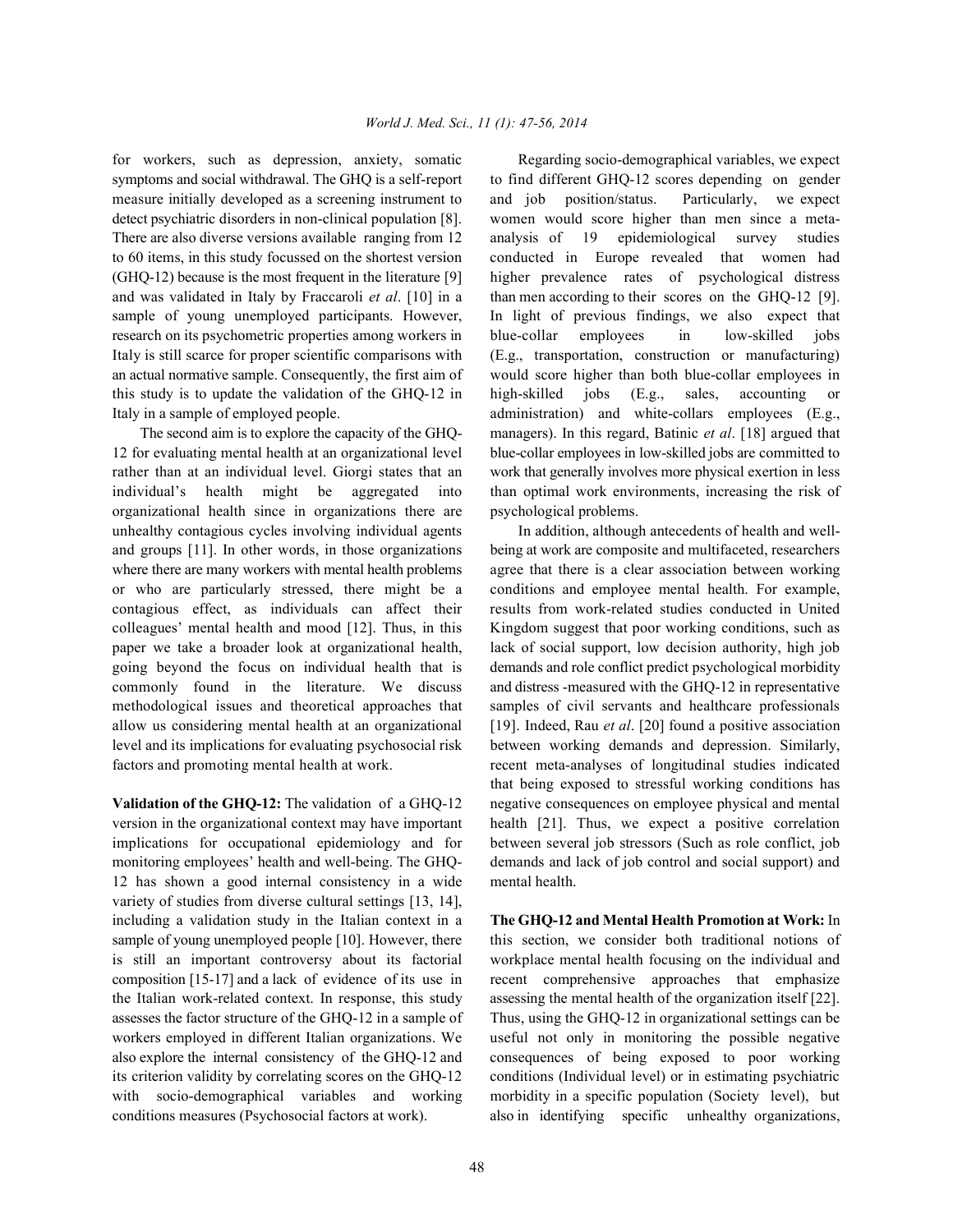symptoms and social withdrawal. The GHQ is a self-report to find different GHQ-12 scores depending on gender measure initially developed as a screening instrument to and job position/status. Particularly, we expect detect psychiatric disorders in non-clinical population [8]. women would score higher than men since a meta-There are also diverse versions available ranging from 12 analysis of 19 epidemiological survey studies to 60 items, in this study focussed on the shortest version conducted in Europe revealed that women had (GHQ-12) because is the most frequent in the literature [9] higher prevalence rates of psychological distress and was validated in Italy by Fraccaroli *et al*. [10] in a than men according to their scores on the GHQ-12 [9]. sample of young unemployed participants. However, In light of previous findings, we also expect that research on its psychometric properties among workers in blue-collar employees in low-skilled jobs Italy is still scarce for proper scientific comparisons with (E.g., transportation, construction or manufacturing) an actual normative sample. Consequently, the first aim of would score higher than both blue-collar employees in this study is to update the validation of the GHQ-12 in high-skilled jobs (E.g., sales, accounting or Italy in a sample of employed people. administration) and white-collars employees (E.g.,

12 for evaluating mental health at an organizational level blue-collar employees in low-skilled jobs are committed to rather than at an individual level. Giorgi states that an work that generally involves more physical exertion in less individual's health might be aggregated into than optimal work environments, increasing the risk of organizational health since in organizations there are psychological problems. unhealthy contagious cycles involving individual agents In addition, although antecedents of health and welland groups [11]. In other words, in those organizations being at work are composite and multifaceted, researchers where there are many workers with mental health problems agree that there is a clear association between working or who are particularly stressed, there might be a conditions and employee mental health. For example, contagious effect, as individuals can affect their results from work-related studies conducted in United colleagues' mental health and mood [12]. Thus, in this Kingdom suggest that poor working conditions, such as paper we take a broader look at organizational health, lack of social support, low decision authority, high job going beyond the focus on individual health that is demands and role conflict predict psychological morbidity commonly found in the literature. We discuss and distress -measured with the GHQ-12 in representative methodological issues and theoretical approaches that samples of civil servants and healthcare professionals allow us considering mental health at an organizational [19]. Indeed, Rau *et al*. [20] found a positive association level and its implications for evaluating psychosocial risk between working demands and depression. Similarly, factors and promoting mental health at work. The recent meta-analyses of longitudinal studies indicated

version in the organizational context may have important health [21]. Thus, we expect a positive correlation implications for occupational epidemiology and for between several job stressors (Such as role conflict, job monitoring employees' health and well-being. The GHQ- demands and lack of job control and social support) and 12 has shown a good internal consistency in a wide mental health. variety of studies from diverse cultural settings [13, 14], including a validation study in the Italian context in a **The GHQ-12 and Mental Health Promotion at Work:** In sample of young unemployed people [10]. However, there this section, we consider both traditional notions of is still an important controversy about its factorial workplace mental health focusing on the individual and composition [15-17] and a lack of evidence of its use in recent comprehensive approaches that emphasize the Italian work-related context. In response, this study assessing the mental health of the organization itself [22]. assesses the factor structure of the GHQ-12 in a sample of Thus, using the GHQ-12 in organizational settings can be workers employed in different Italian organizations. We useful not only in monitoring the possible negative also explore the internal consistency of the GHQ-12 and consequences of being exposed to poor working its criterion validity by correlating scores on the GHQ-12 conditions (Individual level) or in estimating psychiatric with socio-demographical variables and working morbidity in a specific population (Society level), but conditions measures (Psychosocial factors at work). also in identifying specific unhealthy organizations,

for workers, such as depression, anxiety, somatic Regarding socio-demographical variables, we expect The second aim is to explore the capacity of the GHQ- managers). In this regard, Batinic *et al*. [18] argued that

**Validation of the GHQ-12:** The validation of a GHQ-12 negative consequences on employee physical and mental that being exposed to stressful working conditions has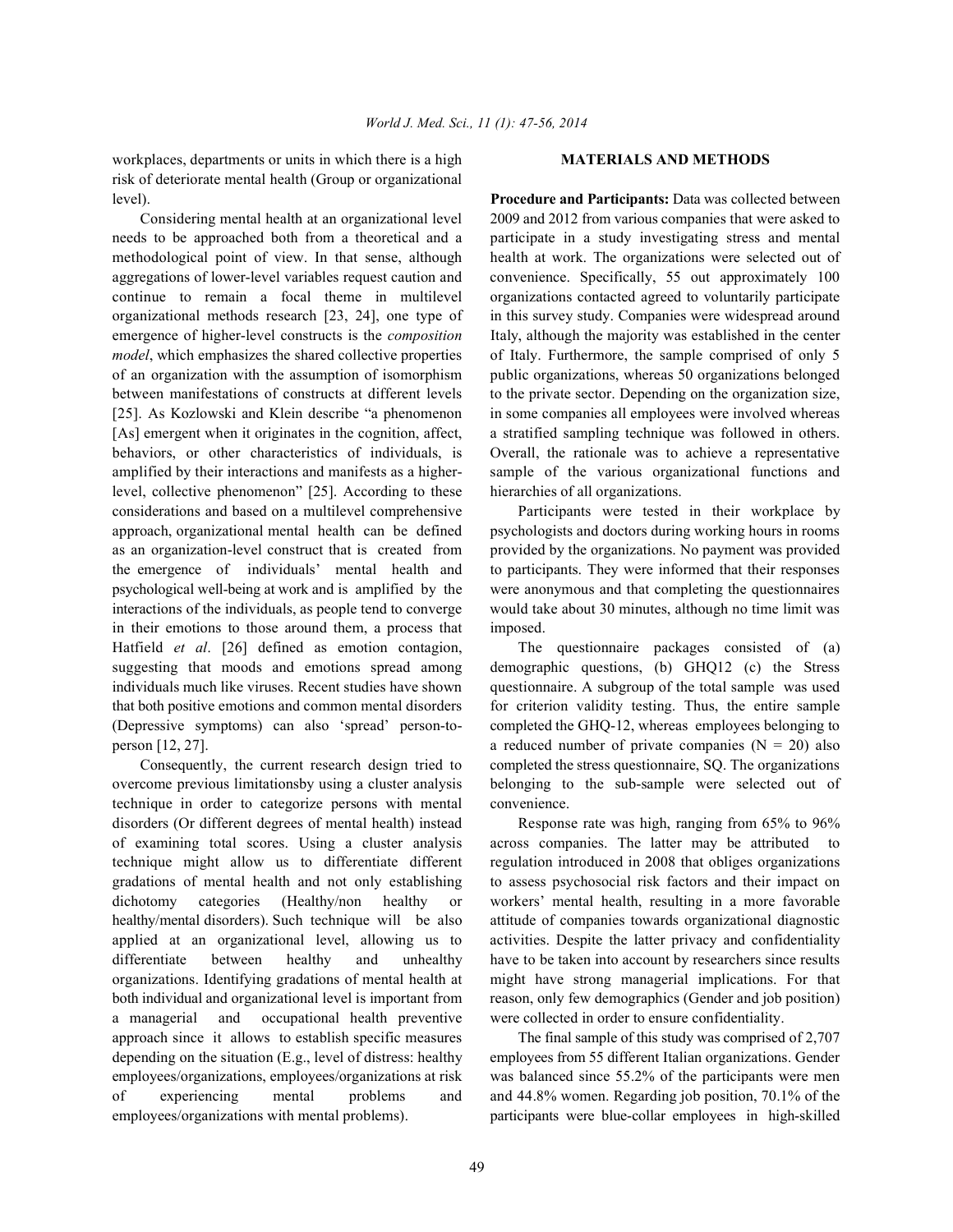workplaces, departments or units in which there is a high **MATERIALS AND METHODS** risk of deteriorate mental health (Group or organizational level). **Procedure and Participants:** Data was collected between

needs to be approached both from a theoretical and a participate in a study investigating stress and mental methodological point of view. In that sense, although health at work. The organizations were selected out of aggregations of lower-level variables request caution and convenience. Specifically, 55 out approximately 100 continue to remain a focal theme in multilevel organizations contacted agreed to voluntarily participate organizational methods research [23, 24], one type of in this survey study. Companies were widespread around emergence of higher-level constructs is the *composition* Italy, although the majority was established in the center *model*, which emphasizes the shared collective properties of Italy. Furthermore, the sample comprised of only 5 of an organization with the assumption of isomorphism public organizations, whereas 50 organizations belonged between manifestations of constructs at different levels to the private sector. Depending on the organization size, [25]. As Kozlowski and Klein describe "a phenomenon in some companies all employees were involved whereas [As] emergent when it originates in the cognition, affect, a stratified sampling technique was followed in others. behaviors, or other characteristics of individuals, is Overall, the rationale was to achieve a representative amplified by their interactions and manifests as a higher- sample of the various organizational functions and level, collective phenomenon" [25]. According to these hierarchies of all organizations. considerations and based on a multilevel comprehensive Participants were tested in their workplace by approach, organizational mental health can be defined psychologists and doctors during working hours in rooms as an organization-level construct that is created from provided by the organizations. No payment was provided the emergence of individuals' mental health and to participants. They were informed that their responses psychological well-being at work and is amplified by the were anonymous and that completing the questionnaires interactions of the individuals, as people tend to converge would take about 30 minutes, although no time limit was in their emotions to those around them, a process that imposed. Hatfield *et al*. [26] defined as emotion contagion, The questionnaire packages consisted of (a) suggesting that moods and emotions spread among demographic questions, (b) GHQ12 (c) the Stress individuals much like viruses. Recent studies have shown questionnaire. A subgroup of the total sample was used that both positive emotions and common mental disorders for criterion validity testing. Thus, the entire sample (Depressive symptoms) can also 'spread' person-to- completed the GHQ-12, whereas employees belonging to person  $[12, 27]$ . a reduced number of private companies  $(N = 20)$  also

overcome previous limitationsby using a cluster analysis belonging to the sub-sample were selected out of technique in order to categorize persons with mental convenience. disorders (Or different degrees of mental health) instead Response rate was high, ranging from 65% to 96% of examining total scores. Using a cluster analysis across companies. The latter may be attributed to technique might allow us to differentiate different regulation introduced in 2008 that obliges organizations gradations of mental health and not only establishing to assess psychosocial risk factors and their impact on dichotomy categories (Healthy/non healthy or workers' mental health, resulting in a more favorable healthy/mental disorders). Such technique will be also attitude of companies towards organizational diagnostic applied at an organizational level, allowing us to activities. Despite the latter privacy and confidentiality differentiate between healthy and unhealthy have to be taken into account by researchers since results organizations. Identifying gradations of mental health at might have strong managerial implications. For that both individual and organizational level is important from reason, only few demographics (Gender and job position) a managerial and occupational health preventive were collected in order to ensure confidentiality. approach since it allows to establish specific measures The final sample of this study was comprised of 2,707 depending on the situation (E.g., level of distress: healthy employees from 55 different Italian organizations. Gender employees/organizations, employees/organizations at risk was balanced since 55.2% of the participants were men of experiencing mental problems and and 44.8% women. Regarding job position, 70.1% of the employees/organizations with mental problems). participants were blue-collar employees in high-skilled

Considering mental health at an organizational level 2009 and 2012 from various companies that were asked to

Consequently, the current research design tried to completed the stress questionnaire, SQ. The organizations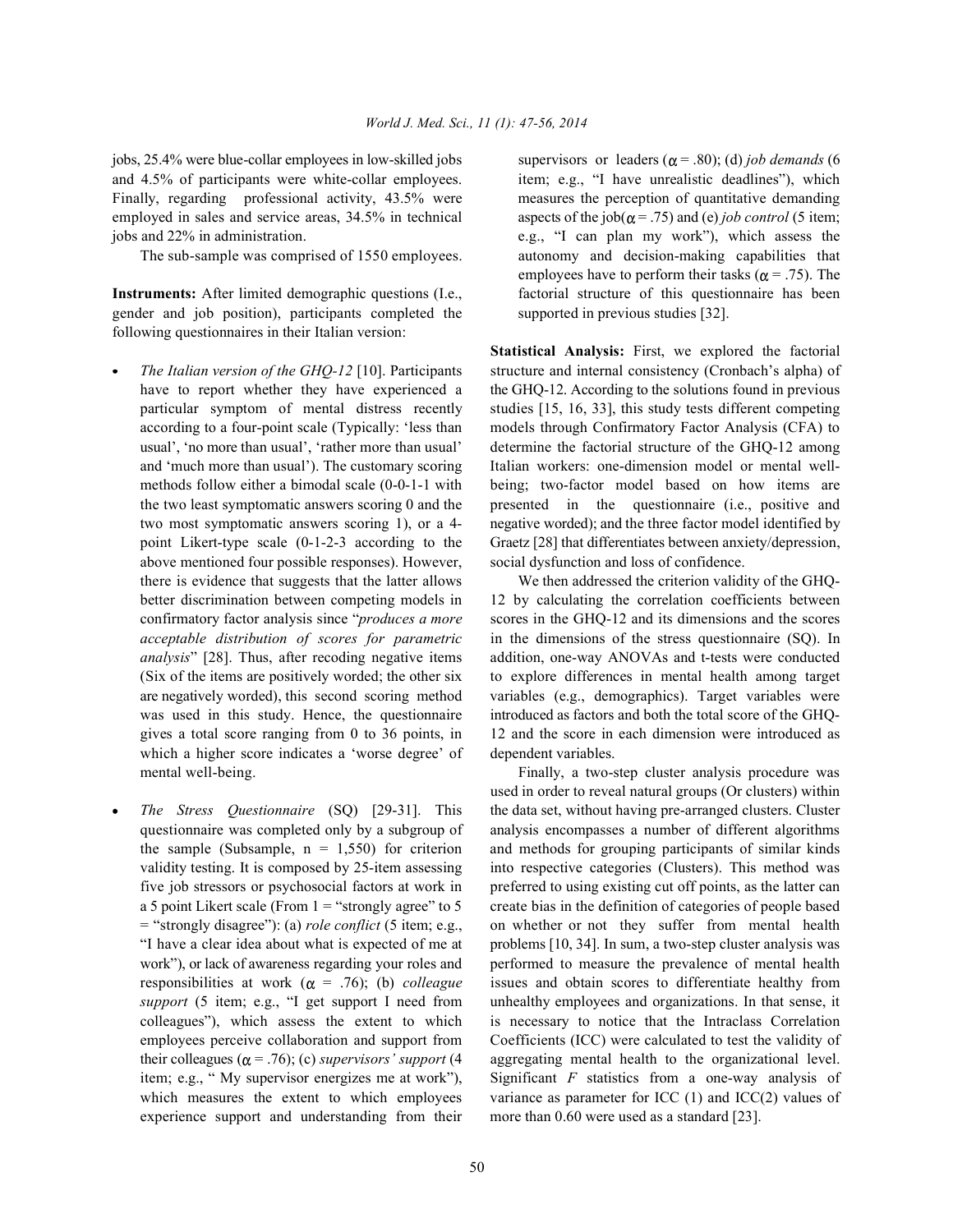jobs, 25.4% were blue-collar employees in low-skilled jobs supervisors or leaders ( $\alpha$  = .80); (d) *job demands* (6 and 4.5% of participants were white-collar employees. item; e.g., "I have unrealistic deadlines"), which Finally, regarding professional activity, 43.5% were measures the perception of quantitative demanding employed in sales and service areas,  $34.5\%$  in technical aspects of the job( $\alpha$  = .75) and (e) *job control* (5 item; jobs and 22% in administration. e.g., "I can plan my work"), which assess the

**Instruments:** After limited demographic questions (I.e., factorial structure of this questionnaire has been gender and job position), participants completed the supported in previous studies [32]. following questionnaires in their Italian version:

- above mentioned four possible responses). However, social dysfunction and loss of confidence. which a higher score indicates a 'worse degree' of dependent variables. mental well-being. Finally, a two-step cluster analysis procedure was
- experience support and understanding from their more than 0.60 were used as a standard [23].

The sub-sample was comprised of 1550 employees. autonomy and decision-making capabilities that employees have to perform their tasks ( $\alpha$  = .75). The

*The Italian version of the GHQ-12* [10]. Participants structure and internal consistency (Cronbach's alpha) of have to report whether they have experienced a the GHQ-12. According to the solutions found in previous particular symptom of mental distress recently studies [15, 16, 33], this study tests different competing according to a four-point scale (Typically: 'less than models through Confirmatory Factor Analysis (CFA) to usual', 'no more than usual', 'rather more than usual' determine the factorial structure of the GHQ-12 among and 'much more than usual'). The customary scoring Italian workers: one-dimension model or mental wellmethods follow either a bimodal scale (0-0-1-1 with being; two-factor model based on how items are the two least symptomatic answers scoring 0 and the presented in the questionnaire (i.e., positive and two most symptomatic answers scoring 1), or a 4- negative worded); and the three factor model identified by point Likert-type scale (0-1-2-3 according to the Graetz [28] that differentiates between anxiety/depression, **Statistical Analysis:** First, we explored the factorial

there is evidence that suggests that the latter allows We then addressed the criterion validity of the GHQbetter discrimination between competing models in 12 by calculating the correlation coefficients between confirmatory factor analysis since "*produces a more* scores in the GHQ-12 and its dimensions and the scores *acceptable distribution of scores for parametric* in the dimensions of the stress questionnaire (SQ). In *analysis*" [28]. Thus, after recoding negative items addition, one-way ANOVAs and t-tests were conducted (Six of the items are positively worded; the other six to explore differences in mental health among target are negatively worded), this second scoring method variables (e.g., demographics). Target variables were was used in this study. Hence, the questionnaire introduced as factors and both the total score of the GHQgives a total score ranging from 0 to 36 points, in 12 and the score in each dimension were introduced as

*The Stress Questionnaire* (SQ) [29-31]. This the data set, without having pre-arranged clusters. Cluster questionnaire was completed only by a subgroup of analysis encompasses a number of different algorithms the sample (Subsample,  $n = 1,550$ ) for criterion and methods for grouping participants of similar kinds validity testing. It is composed by 25-item assessing into respective categories (Clusters). This method was five job stressors or psychosocial factors at work in preferred to using existing cut off points, as the latter can a 5 point Likert scale (From 1 = "strongly agree" to 5 create bias in the definition of categories of people based = "strongly disagree"): (a) *role conflict* (5 item; e.g., on whether or not they suffer from mental health "I have a clear idea about what is expected of me at problems [10, 34]. In sum, a two-step cluster analysis was work"), or lack of awareness regarding your roles and performed to measure the prevalence of mental health responsibilities at work  $(\alpha = .76)$ ; (b) *colleague* issues and obtain scores to differentiate healthy from *support* (5 item; e.g., "I get support I need from unhealthy employees and organizations. In that sense, it colleagues"), which assess the extent to which is necessary to notice that the Intraclass Correlation employees perceive collaboration and support from Coefficients (ICC) were calculated to test the validity of their colleagues ( $\alpha = .76$ ); (c) *supervisors' support* (4 aggregating mental health to the organizational level. item; e.g., " My supervisor energizes me at work"), Significant *F* statistics from a one-way analysis of which measures the extent to which employees variance as parameter for ICC (1) and ICC(2) values of used in order to reveal natural groups (Or clusters) within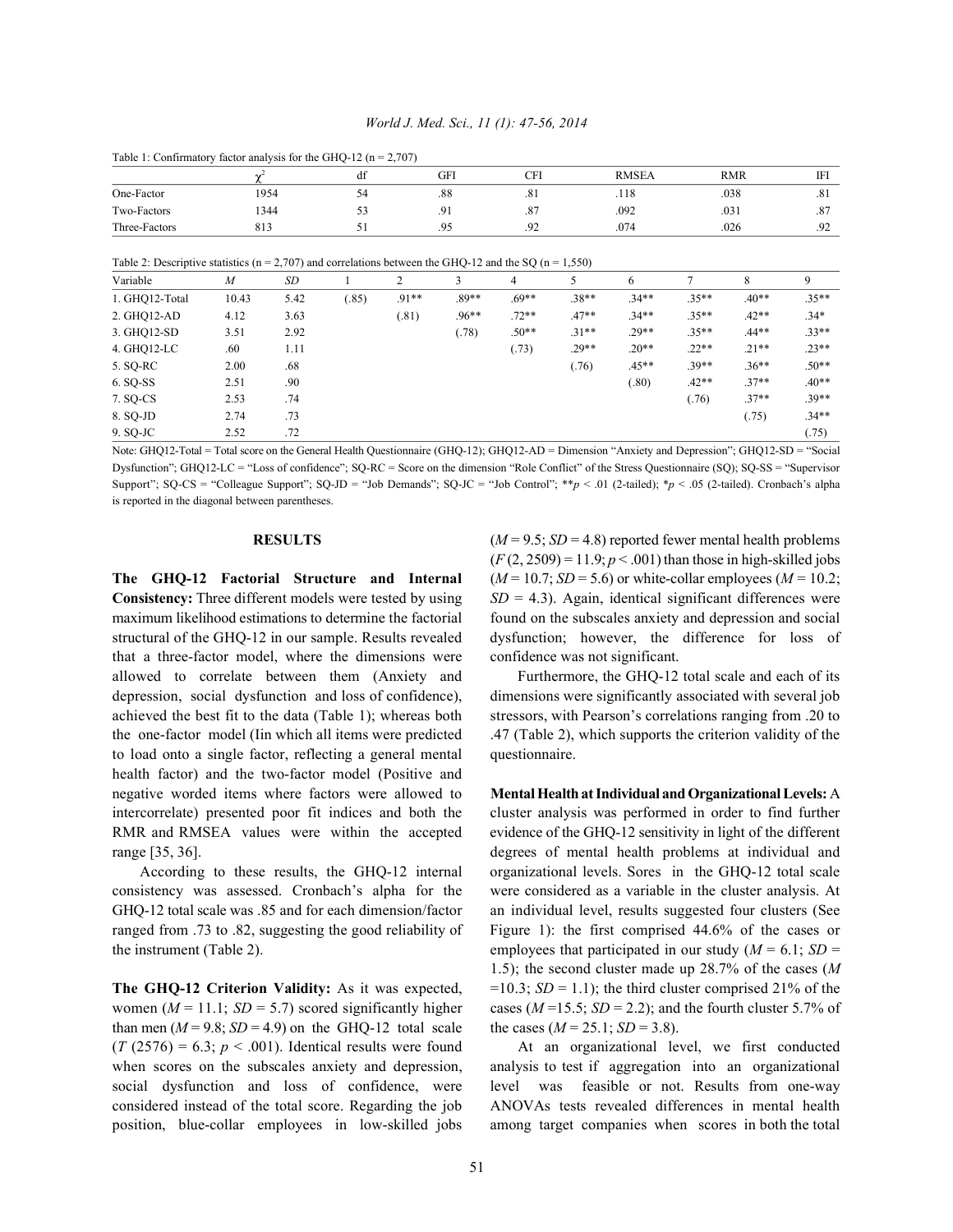## *World J. Med. Sci., 11 (1): 47-56, 2014*

<sup>2</sup> df GFI CFI RMSEA RMR IFI One-Factor 1954 54 .88 .81 .118 .038 .81 Two-Factors 1344 53 .91 .092 .031 .87 1920 1924 Three-Factors 313 51 .95 .92 .074 .026 .026 .92

Table 1: Confirmatory factor analysis for the GHQ-12 ( $n = 2,707$ )

Table 2: Descriptive statistics ( $n = 2,707$ ) and correlations between the GHQ-12 and the SQ ( $n = 1,550$ )

| Variable       | $\boldsymbol{M}$ | <b>SD</b> |       | 2     |         | $\overline{4}$ |         | 6       |         | 8       | 9       |
|----------------|------------------|-----------|-------|-------|---------|----------------|---------|---------|---------|---------|---------|
| 1. GHQ12-Total | 10.43            | 5.42      | (.85) | .91** | $.89**$ | $.69**$        | $.38**$ | $.34**$ | $.35**$ | $.40**$ | $.35**$ |
| 2. GHQ12-AD    | 4.12             | 3.63      |       | (.81) | $.96**$ | $.72**$        | $.47**$ | $.34**$ | $.35**$ | $.42**$ | $.34*$  |
| 3. GHQ12-SD    | 3.51             | 2.92      |       |       | (.78)   | $.50**$        | $.31**$ | $.29**$ | $.35**$ | $.44**$ | $.33**$ |
| 4. GHQ12-LC    | .60              | 1.11      |       |       |         | (.73)          | $.29**$ | $.20**$ | $.22**$ | $.21**$ | $.23**$ |
| 5. SQ-RC       | 2.00             | .68       |       |       |         |                | (.76)   | $.45**$ | $.39**$ | $.36**$ | $.50**$ |
| 6. SQ-SS       | 2.51             | .90       |       |       |         |                |         | (.80)   | $.42**$ | $.37**$ | $.40**$ |
| 7. SQ-CS       | 2.53             | .74       |       |       |         |                |         |         | (.76)   | $.37**$ | $.39**$ |
| 8. SQ-JD       | 2.74             | .73       |       |       |         |                |         |         |         | (.75)   | $.34**$ |
| 9. SQ-JC       | 2.52             | .72       |       |       |         |                |         |         |         |         | (.75)   |

Note: GHQ12-Total = Total score on the General Health Questionnaire (GHQ-12); GHQ12-AD = Dimension "Anxiety and Depression"; GHQ12-SD = "Social Dysfunction"; GHQ12-LC = "Loss of confidence"; SQ-RC = Score on the dimension "Role Conflict" of the Stress Questionnaire (SQ); SQ-SS = "Supervisor Support"; SQ-CS = "Colleague Support"; SQ-JD = "Job Demands"; SQ-JC = "Job Control"; \*\**p* < .01 (2-tailed); \**p* < .05 (2-tailed). Cronbach's alpha is reported in the diagonal between parentheses.

that a three-factor model, where the dimensions were confidence was not significant. allowed to correlate between them (Anxiety and Furthermore, the GHQ-12 total scale and each of its depression, social dysfunction and loss of confidence), dimensions were significantly associated with several job achieved the best fit to the data (Table 1); whereas both stressors, with Pearson's correlations ranging from .20 to the one-factor model (Iin which all items were predicted .47 (Table 2), which supports the criterion validity of the to load onto a single factor, reflecting a general mental questionnaire. health factor) and the two-factor model (Positive and negative worded items where factors were allowed to **Mental Health at Individual and Organizational Levels:** A intercorrelate) presented poor fit indices and both the cluster analysis was performed in order to find further RMR and RMSEA values were within the accepted evidence of the GHQ-12 sensitivity in light of the different range [35, 36]. The contract of mental health problems at individual and range [35, 36].

consistency was assessed. Cronbach's alpha for the were considered as a variable in the cluster analysis. At GHQ-12 total scale was .85 and for each dimension/factor an individual level, results suggested four clusters (See ranged from .73 to .82, suggesting the good reliability of Figure 1): the first comprised 44.6% of the cases or the instrument (Table 2). employees that participated in our study  $(M = 6.1; SD =$ 

**The GHQ-12 Criterion Validity:** As it was expected,  $=10.3$ ;  $SD = 1.1$ ); the third cluster comprised 21% of the women ( $M = 11.1$ ;  $SD = 5.7$ ) scored significantly higher cases ( $M = 15.5$ ;  $SD = 2.2$ ); and the fourth cluster 5.7% of than men  $(M = 9.8; SD = 4.9)$  on the GHQ-12 total scale the cases  $(M = 25.1; SD = 3.8)$ .  $(T (2576) = 6.3; p < .001)$ . Identical results were found At an organizational level, we first conducted position, blue-collar employees in low-skilled jobs among target companies when scores in both the total

**RESULTS**  $(M=9.5; SD=4.8)$  reported fewer mental health problems **The GHO-12 Factorial Structure and Internal**  $(M=10.7; SD=5.6)$  **or white-collar employees**  $(M=10.2;$ **Consistency:** Three different models were tested by using  $SD = 4.3$ ). Again, identical significant differences were maximum likelihood estimations to determine the factorial found on the subscales anxiety and depression and social structural of the GHQ-12 in our sample. Results revealed dysfunction; however, the difference for loss of  $(F(2, 2509) = 11.9; p < .001)$  than those in high-skilled jobs

According to these results, the GHQ-12 internal organizational levels. Sores in the GHQ-12 total scale 1.5); the second cluster made up 28.7% of the cases (*M*

when scores on the subscales anxiety and depression, analysis to test if aggregation into an organizational social dysfunction and loss of confidence, were level was feasible or not. Results from one-way considered instead of the total score. Regarding the job ANOVAs tests revealed differences in mental health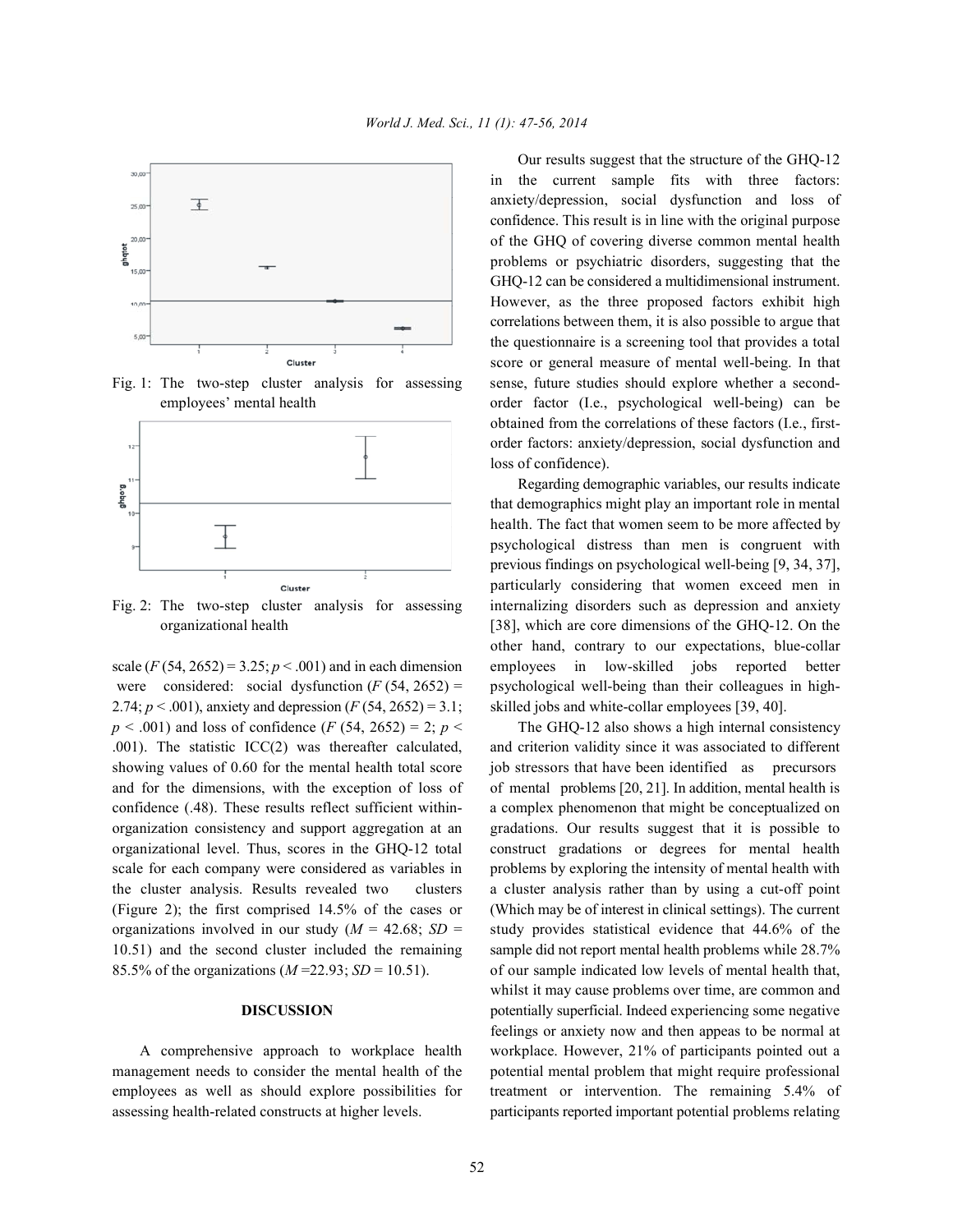



2.74;  $p < .001$ ), anxiety and depression  $(F (54, 2652) = 3.1$ ; skilled jobs and white-collar employees [39, 40].  $p < .001$ ) and loss of confidence  $(F (54, 2652) = 2; p <$  The GHQ-12 also shows a high internal consistency .001). The statistic ICC(2) was thereafter calculated, and criterion validity since it was associated to different showing values of 0.60 for the mental health total score job stressors that have been identified as precursors and for the dimensions, with the exception of loss of of mental problems [20, 21]. In addition, mental health is confidence (.48). These results reflect sufficient within- a complex phenomenon that might be conceptualized on organization consistency and support aggregation at an gradations. Our results suggest that it is possible to organizational level. Thus, scores in the GHQ-12 total construct gradations or degrees for mental health scale for each company were considered as variables in problems by exploring the intensity of mental health with the cluster analysis. Results revealed two clusters a cluster analysis rather than by using a cut-off point (Figure 2); the first comprised 14.5% of the cases or (Which may be of interest in clinical settings). The current organizations involved in our study  $(M = 42.68; SD =$  study provides statistical evidence that 44.6% of the 10.51) and the second cluster included the remaining sample did not report mental health problems while 28.7% 85.5% of the organizations (*M* =22.93; *SD* = 10.51). of our sample indicated low levels of mental health that,

assessing health-related constructs at higher levels. participants reported important potential problems relating

Fig. 1: The two-step cluster analysis for assessing sense, future studies should explore whether a secondemployees' mental health order factor (I.e., psychological well-being) can be Our results suggest that the structure of the GHQ-12 in the current sample fits with three factors: anxiety/depression, social dysfunction and loss of confidence. This result is in line with the original purpose of the GHQ of covering diverse common mental health problems or psychiatric disorders, suggesting that the GHQ-12 can be considered a multidimensional instrument. However, as the three proposed factors exhibit high correlations between them, it is also possible to argue that the questionnaire is a screening tool that provides a total score or general measure of mental well-being. In that obtained from the correlations of these factors (I.e., firstorder factors: anxiety/depression, social dysfunction and loss of confidence).

Fig. 2: The two-step cluster analysis for assessing internalizing disorders such as depression and anxiety organizational health [38], which are core dimensions of the GHQ-12. On the scale  $(F (54, 2652) = 3.25; p < .001)$  and in each dimension employees in low-skilled jobs reported better were considered: social dysfunction  $(F (54, 2652) =$  psychological well-being than their colleagues in high-Regarding demographic variables, our results indicate that demographics might play an important role in mental health. The fact that women seem to be more affected by psychological distress than men is congruent with previous findings on psychological well-being [9, 34, 37], particularly considering that women exceed men in other hand, contrary to our expectations, blue-collar

**DISCUSSION** potentially superficial. Indeed experiencing some negative A comprehensive approach to workplace health workplace. However, 21% of participants pointed out a management needs to consider the mental health of the potential mental problem that might require professional employees as well as should explore possibilities for treatment or intervention. The remaining 5.4% of whilst it may cause problems over time, are common and feelings or anxiety now and then appeas to be normal at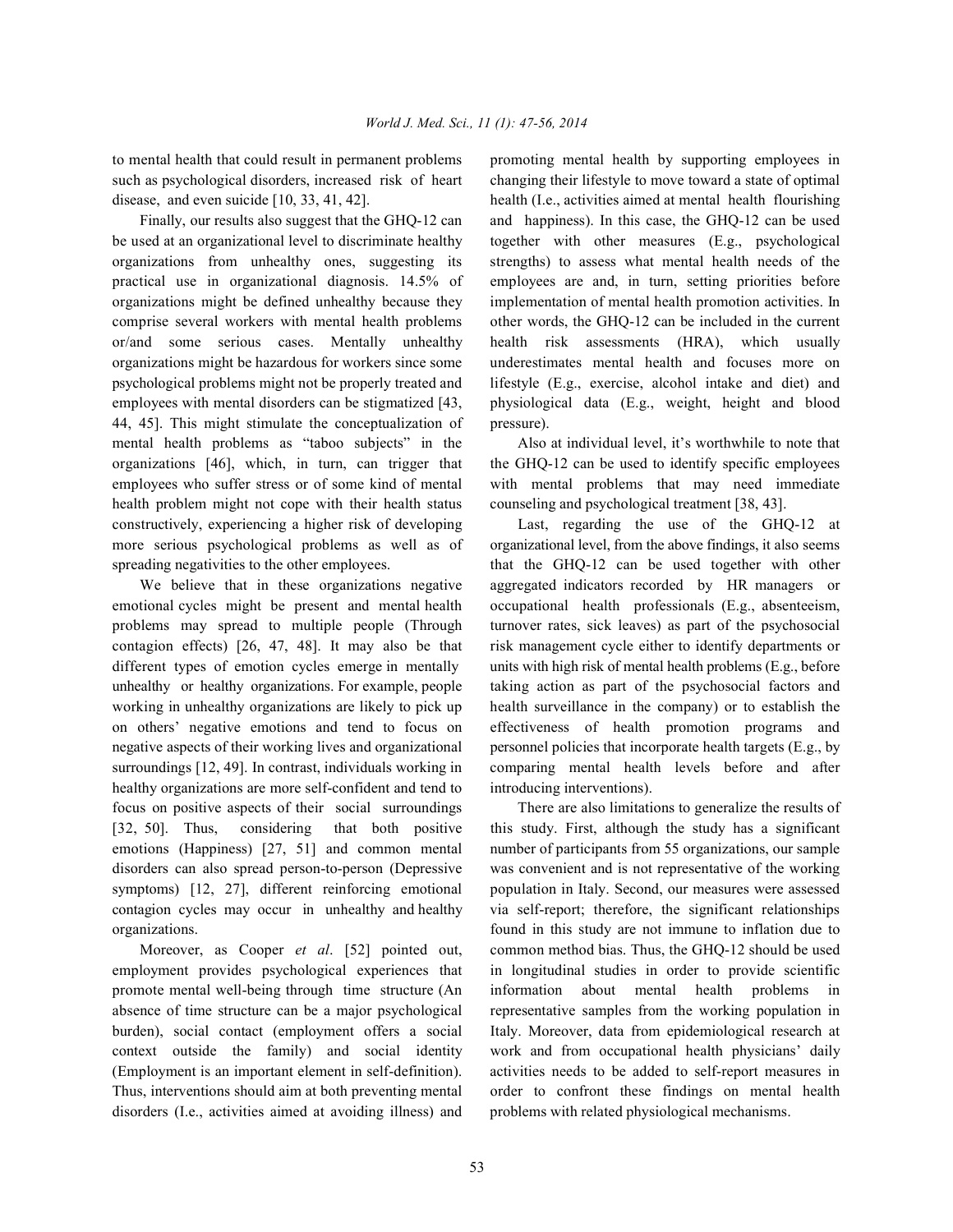to mental health that could result in permanent problems promoting mental health by supporting employees in such as psychological disorders, increased risk of heart changing their lifestyle to move toward a state of optimal disease, and even suicide [10, 33, 41, 42]. health (I.e., activities aimed at mental health flourishing

be used at an organizational level to discriminate healthy together with other measures (E.g., psychological organizations from unhealthy ones, suggesting its strengths) to assess what mental health needs of the practical use in organizational diagnosis. 14.5% of employees are and, in turn, setting priorities before organizations might be defined unhealthy because they implementation of mental health promotion activities. In comprise several workers with mental health problems other words, the GHQ-12 can be included in the current or/and some serious cases. Mentally unhealthy health risk assessments (HRA), which usually organizations might be hazardous for workers since some underestimates mental health and focuses more on psychological problems might not be properly treated and lifestyle (E.g., exercise, alcohol intake and diet) and employees with mental disorders can be stigmatized [43, physiological data (E.g., weight, height and blood 44, 45]. This might stimulate the conceptualization of pressure). mental health problems as "taboo subjects" in the Also at individual level, it's worthwhile to note that organizations [46], which, in turn, can trigger that the GHQ-12 can be used to identify specific employees employees who suffer stress or of some kind of mental with mental problems that may need immediate health problem might not cope with their health status counseling and psychological treatment [38, 43]. constructively, experiencing a higher risk of developing Last, regarding the use of the GHQ-12 at more serious psychological problems as well as of organizational level, from the above findings, it also seems spreading negativities to the other employees. that the GHQ-12 can be used together with other

emotional cycles might be present and mental health occupational health professionals (E.g., absenteeism, problems may spread to multiple people (Through turnover rates, sick leaves) as part of the psychosocial contagion effects) [26, 47, 48]. It may also be that risk management cycle either to identify departments or different types of emotion cycles emerge in mentally units with high risk of mental health problems (E.g., before unhealthy or healthy organizations. For example, people taking action as part of the psychosocial factors and working in unhealthy organizations are likely to pick up health surveillance in the company) or to establish the on others' negative emotions and tend to focus on effectiveness of health promotion programs and negative aspects of their working lives and organizational personnel policies that incorporate health targets (E.g., by surroundings [12, 49]. In contrast, individuals working in comparing mental health levels before and after healthy organizations are more self-confident and tend to introducing interventions). focus on positive aspects of their social surroundings There are also limitations to generalize the results of [32, 50]. Thus, considering that both positive this study. First, although the study has a significant emotions (Happiness) [27, 51] and common mental number of participants from 55 organizations, our sample disorders can also spread person-to-person (Depressive was convenient and is not representative of the working symptoms) [12, 27], different reinforcing emotional population in Italy. Second, our measures were assessed contagion cycles may occur in unhealthy and healthy via self-report; therefore, the significant relationships organizations. found in this study are not immune to inflation due to

employment provides psychological experiences that in longitudinal studies in order to provide scientific promote mental well-being through time structure (An information about mental health problems in absence of time structure can be a major psychological representative samples from the working population in burden), social contact (employment offers a social Italy. Moreover, data from epidemiological research at context outside the family) and social identity work and from occupational health physicians' daily (Employment is an important element in self-definition). activities needs to be added to self-report measures in Thus, interventions should aim at both preventing mental order to confront these findings on mental health disorders (I.e., activities aimed at avoiding illness) and problems with related physiological mechanisms.

Finally, our results also suggest that the GHQ-12 can and happiness). In this case, the GHQ-12 can be used

We believe that in these organizations negative aggregated indicators recorded by HR managers or

Moreover, as Cooper *et al*. [52] pointed out, common method bias. Thus, the GHQ-12 should be used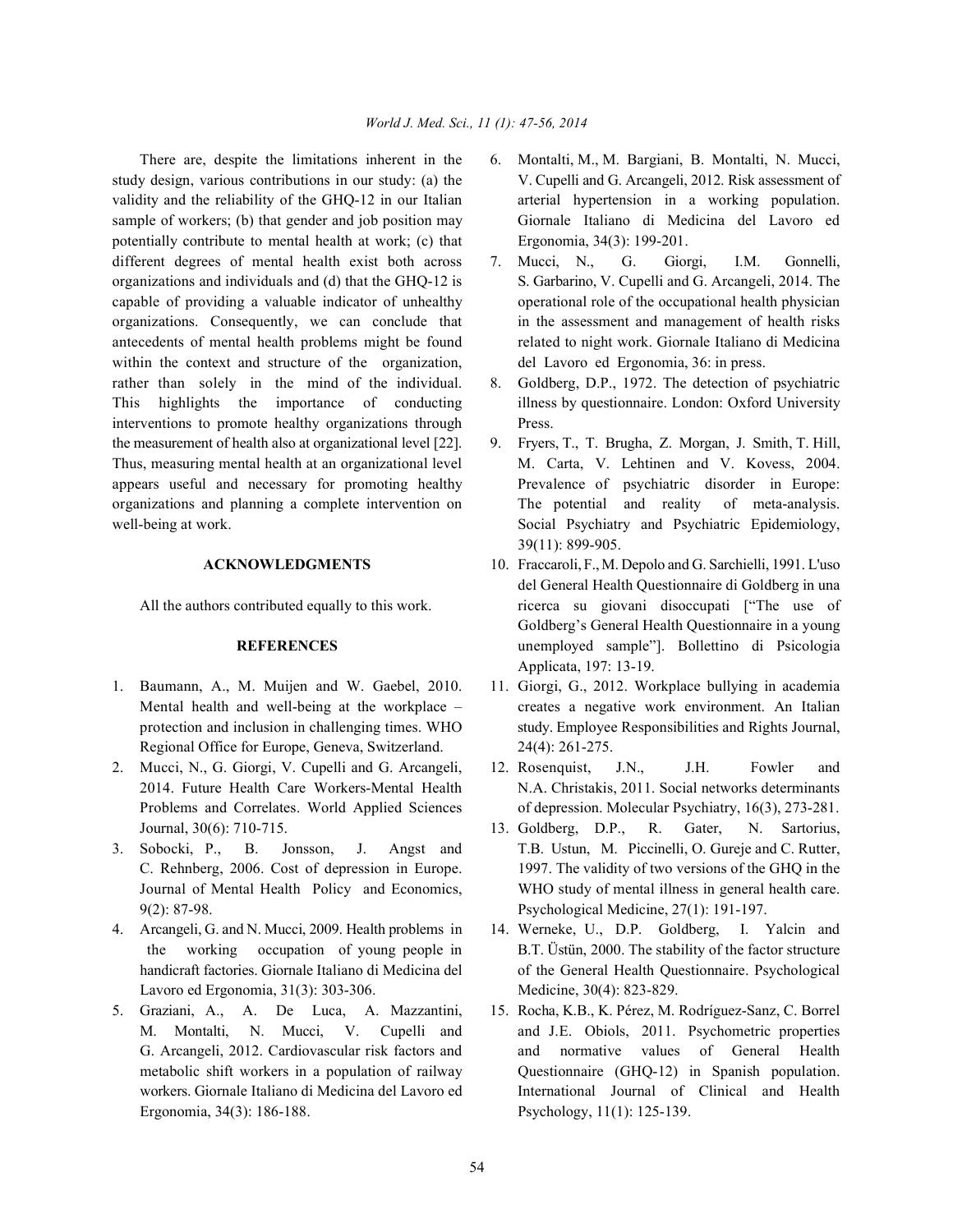study design, various contributions in our study: (a) the V. Cupelli and G. Arcangeli, 2012. Risk assessment of validity and the reliability of the GHQ-12 in our Italian arterial hypertension in a working population. sample of workers; (b) that gender and job position may Giornale Italiano di Medicina del Lavoro ed potentially contribute to mental health at work; (c) that Ergonomia, 34(3): 199-201. different degrees of mental health exist both across 7. Mucci, N., G. Giorgi, I.M. Gonnelli, organizations and individuals and (d) that the GHQ-12 is S. Garbarino, V. Cupelli and G. Arcangeli, 2014. The capable of providing a valuable indicator of unhealthy operational role of the occupational health physician organizations. Consequently, we can conclude that in the assessment and management of health risks antecedents of mental health problems might be found related to night work. Giornale Italiano di Medicina within the context and structure of the organization, del Lavoro ed Ergonomia, 36: in press. rather than solely in the mind of the individual. 8. Goldberg, D.P., 1972. The detection of psychiatric This highlights the importance of conducting illness by questionnaire. London: Oxford University interventions to promote healthy organizations through Press. the measurement of health also at organizational level [22]. 9. Fryers, T., T. Brugha, Z. Morgan, J. Smith, T. Hill, Thus, measuring mental health at an organizational level M. Carta, V. Lehtinen and V. Kovess, 2004. appears useful and necessary for promoting healthy Prevalence of psychiatric disorder in Europe: organizations and planning a complete intervention on The potential and reality of meta-analysis. well-being at work. Social Psychiatry and Psychiatric Epidemiology,

- 1. Baumann, A., M. Muijen and W. Gaebel, 2010. 11. Giorgi, G., 2012. Workplace bullying in academia Regional Office for Europe, Geneva, Switzerland. 24(4): 261-275.
- 2. Mucci, N., G. Giorgi, V. Cupelli and G. Arcangeli, 12. Rosenquist, J.N., J.H. Fowler and Journal, 30(6): 710-715. 13. Goldberg, D.P., R. Gater, N. Sartorius,
- 9(2): 87-98. Psychological Medicine, 27(1): 191-197.
- Lavoro ed Ergonomia, 31(3): 303-306. Medicine, 30(4): 823-829.
- 5. Graziani, A., A. De Luca, A. Mazzantini, 15. Rocha, K.B., K. Pérez, M. Rodríguez-Sanz, C. Borrel Ergonomia, 34(3): 186-188. Psychology, 11(1): 125-139.
- There are, despite the limitations inherent in the 6. Montalti, M., M. Bargiani, B. Montalti, N. Mucci,
	-
	-
	- 39(11): 899-905.
- **ACKNOWLEDGMENTS** 10. Fraccaroli, F., M. Depolo and G. Sarchielli, 1991. L'uso All the authors contributed equally to this work. ricerca su giovani disoccupati ["The use of **REFERENCES** unemployed sample"]. Bollettino di Psicologia del General Health Questionnaire di Goldberg in una Goldberg's General Health Questionnaire in a young Applicata, 197: 13-19.
- Mental health and well-being at the workplace creates a negative work environment. An Italian protection and inclusion in challenging times. WHO study. Employee Responsibilities and Rights Journal,
- 2014. Future Health Care Workers-Mental Health N.A. Christakis, 2011. Social networks determinants Problems and Correlates. World Applied Sciences of depression. Molecular Psychiatry, 16(3), 273-281.
- 3. Sobocki, P., B. Jonsson, J. Angst and T.B. Ustun, M. Piccinelli, O. Gureje and C. Rutter, C. Rehnberg, 2006. Cost of depression in Europe. 1997. The validity of two versions of the GHQ in the Journal of Mental Health Policy and Economics, WHO study of mental illness in general health care.
- 4. Arcangeli, G. and N. Mucci, 2009. Health problems in 14. Werneke, U., D.P. Goldberg, I. Yalcin and the working occupation of young people in B.T. Üstün, 2000. The stability of the factor structure handicraft factories. Giornale Italiano di Medicina del of the General Health Questionnaire. Psychological
	- M. Montalti, N. Mucci, V. Cupelli and and J.E. Obiols, 2011. Psychometric properties G. Arcangeli, 2012. Cardiovascular risk factors and and normative values of General Health metabolic shift workers in a population of railway Questionnaire (GHQ-12) in Spanish population. workers. Giornale Italiano di Medicina del Lavoro ed latternational Journal of Clinical and Health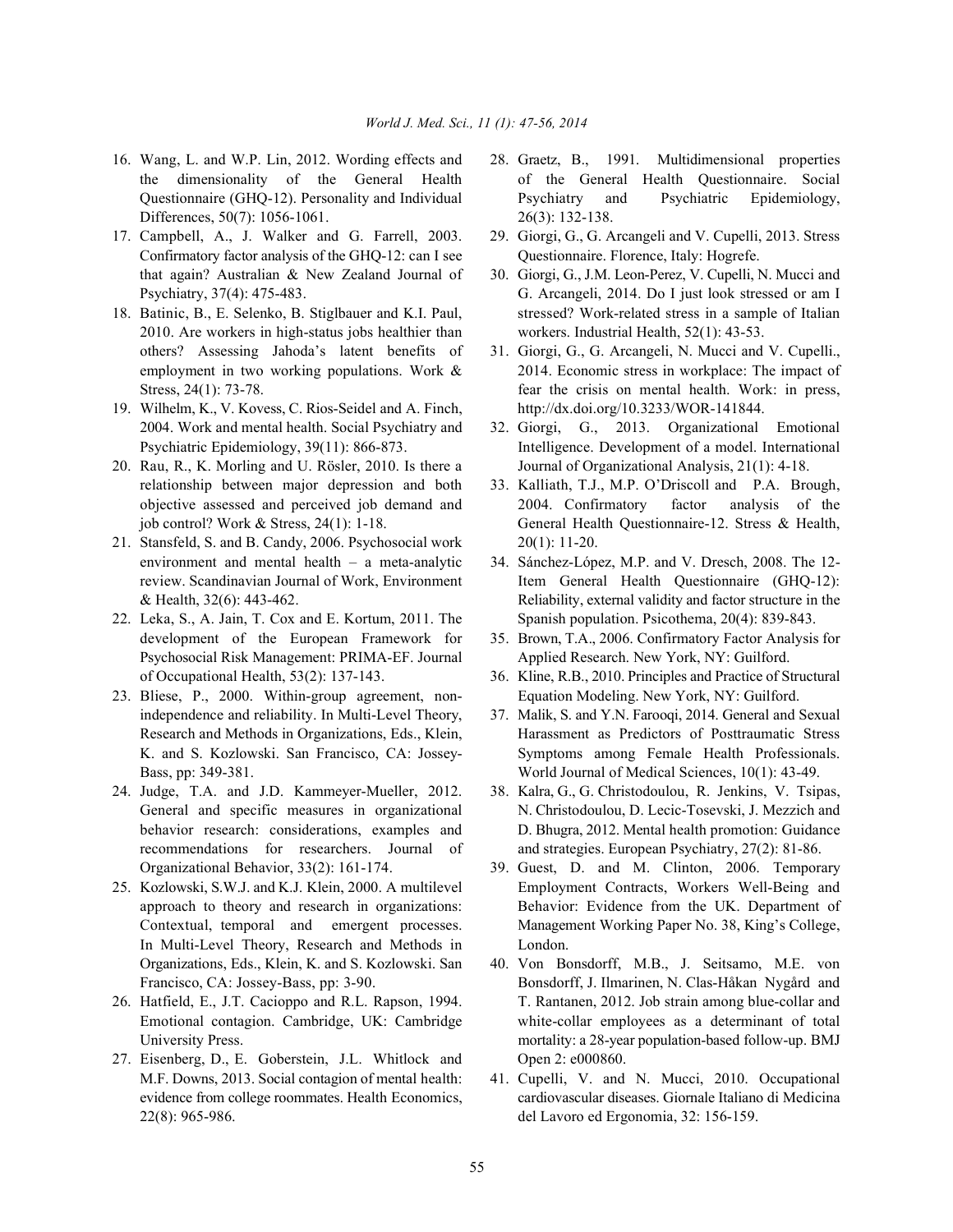- 16. Wang, L. and W.P. Lin, 2012. Wording effects and 28. Graetz, B., 1991. Multidimensional properties Differences, 50(7): 1056-1061. 26(3): 132-138.
- Confirmatory factor analysis of the GHQ-12: can I see Questionnaire. Florence, Italy: Hogrefe. that again? Australian & New Zealand Journal of 30. Giorgi, G., J.M. Leon-Perez, V. Cupelli, N. Mucci and
- 2010. Are workers in high-status jobs healthier than workers. Industrial Health, 52(1): 43-53. others? Assessing Jahoda's latent benefits of 31. Giorgi, G., G. Arcangeli, N. Mucci and V. Cupelli.,
- 19. Wilhelm, K., V. Kovess, C. Rios-Seidel and A. Finch, http://dx.doi.org/10.3233/WOR-141844. 2004. Work and mental health. Social Psychiatry and 32. Giorgi, G., 2013. Organizational Emotional
- relationship between major depression and both 33. Kalliath, T.J., M.P. O'Driscoll and P.A. Brough,
- 21. Stansfeld, S. and B. Candy, 2006. Psychosocial work 20(1): 11-20. environment and mental health – a meta-analytic 34. Sánchez-López, M.P. and V. Dresch, 2008. The 12-
- development of the European Framework for 35. Brown, T.A., 2006. Confirmatory Factor Analysis for Psychosocial Risk Management: PRIMA-EF. Journal Applied Research. New York, NY: Guilford. of Occupational Health, 53(2): 137-143. 36. Kline, R.B., 2010. Principles and Practice of Structural
- 
- 24. Judge, T.A. and J.D. Kammeyer-Mueller, 2012. 38. Kalra, G., G. Christodoulou, R. Jenkins, V. Tsipas,
- In Multi-Level Theory, Research and Methods in London.
- 
- 27. Eisenberg, D., E. Goberstein, J.L. Whitlock and Open 2: e000860. M.F. Downs, 2013. Social contagion of mental health: 41. Cupelli, V. and N. Mucci, 2010. Occupational 22(8): 965-986. del Lavoro ed Ergonomia, 32: 156-159.
- the dimensionality of the General Health of the General Health Questionnaire. Social Questionnaire (GHQ-12). Personality and Individual Psychiatry and Psychiatric Epidemiology,
- 17. Campbell, A., J. Walker and G. Farrell, 2003. 29. Giorgi, G., G. Arcangeli and V. Cupelli, 2013. Stress
- Psychiatry, 37(4): 475-483. G. Arcangeli, 2014. Do I just look stressed or am I 18. Batinic, B., E. Selenko, B. Stiglbauer and K.I. Paul, stressed? Work-related stress in a sample of Italian
	- employment in two working populations. Work  $\&$  2014. Economic stress in workplace: The impact of Stress, 24(1): 73-78. **Fear the crisis on mental health.** Work: in press,
- Psychiatric Epidemiology, 39(11): 866-873. Intelligence. Development of a model. International 20. Rau, R., K. Morling and U. Rösler, 2010. Is there a Journal of Organizational Analysis, 21(1): 4-18.
	- objective assessed and perceived job demand and 2004. Confirmatory factor analysis of the job control? Work & Stress, 24(1): 1-18. General Health Questionnaire-12. Stress & Health,
- review. Scandinavian Journal of Work, Environment Item General Health Questionnaire (GHQ-12): & Health, 32(6): 443-462. Reliability, external validity and factor structure in the 22. Leka, S., A. Jain, T. Cox and E. Kortum, 2011. The Spanish population. Psicothema, 20(4): 839-843.
	-
- 23. Bliese, P., 2000. Within-group agreement, non- Equation Modeling. New York, NY: Guilford.
	- independence and reliability. In Multi-Level Theory, 37. Malik, S. and Y.N. Farooqi, 2014. General and Sexual Research and Methods in Organizations, Eds., Klein, Harassment as Predictors of Posttraumatic Stress K. and S. Kozlowski. San Francisco, CA: Jossey- Symptoms among Female Health Professionals. Bass, pp: 349-381. World Journal of Medical Sciences, 10(1): 43-49.
	- General and specific measures in organizational N. Christodoulou, D. Lecic-Tosevski, J. Mezzich and behavior research: considerations, examples and D. Bhugra, 2012. Mental health promotion: Guidance recommendations for researchers. Journal of and strategies. European Psychiatry, 27(2): 81-86.
- Organizational Behavior, 33(2): 161-174. 39. Guest, D. and M. Clinton, 2006. Temporary 25. Kozlowski, S.W.J. and K.J. Klein, 2000. A multilevel Employment Contracts, Workers Well-Being and approach to theory and research in organizations: Behavior: Evidence from the UK. Department of Contextual, temporal and emergent processes. Management Working Paper No. 38, King's College,
- Organizations, Eds., Klein, K. and S. Kozlowski. San 40. Von Bonsdorff, M.B., J. Seitsamo, M.E. von Francisco, CA: Jossey-Bass, pp: 3-90. Bonsdorff, J. Ilmarinen, N. Clas-Håkan Nygård and 26. Hatfield, E., J.T. Cacioppo and R.L. Rapson, 1994. T. Rantanen, 2012. Job strain among blue-collar and Emotional contagion. Cambridge, UK: Cambridge white-collar employees as a determinant of total University Press. The same of the mortality: a 28-year population-based follow-up. BMJ
	- evidence from college roommates. Health Economics, cardiovascular diseases. Giornale Italiano di Medicina